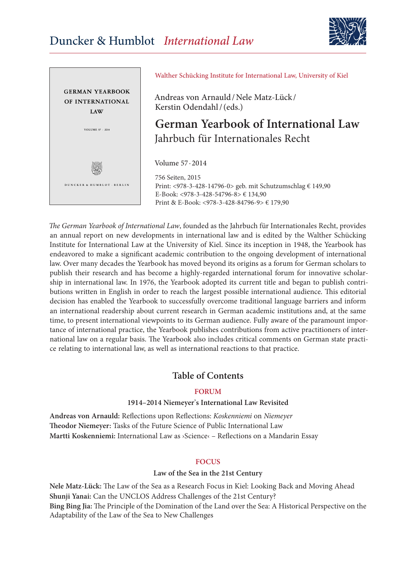



Walther Schücking Institute for International Law, University of Kiel

Andreas von Arnauld/Nele Matz-Lück / Kerstin Odendahl/(eds.)

# **German Yearbook of International Law**  Jahrbuch für Internationales Recht

Volume 57 ∙ 2014

756 Seiten, 2015 Print: <978-3-428-14796-0> geb. mit Schutzumschlag € 149,90 E-Book: <978-3-428-54796-8> € 134,90 Print & E-Book: <978-3-428-84796-9> € 179,90

*The German Yearbook of International Law*, founded as the Jahrbuch für Internationales Recht, provides an annual report on new developments in international law and is edited by the Walther Schücking Institute for International Law at the University of Kiel. Since its inception in 1948, the Yearbook has endeavored to make a significant academic contribution to the ongoing development of international law. Over many decades the Yearbook has moved beyond its origins as a forum for German scholars to publish their research and has become a highly-regarded international forum for innovative scholarship in international law. In 1976, the Yearbook adopted its current title and began to publish contributions written in English in order to reach the largest possible international audience. This editorial decision has enabled the Yearbook to successfully overcome traditional language barriers and inform an international readership about current research in German academic institutions and, at the same time, to present international viewpoints to its German audience. Fully aware of the paramount importance of international practice, the Yearbook publishes contributions from active practitioners of international law on a regular basis. The Yearbook also includes critical comments on German state practice relating to international law, as well as international reactions to that practice.

## **Table of Contents**

### **FORUM**

### **1914–2014 Niemeyer**'**s International Law Revisited**

**Andreas von Arnauld:** Reflections upon Reflections: *Koskenniemi* on *Niemeyer* **Theodor Niemeyer:** Tasks of the Future Science of Public International Law **Martti Koskenniemi:** International Law as ›Science‹ – Reflections on a Mandarin Essay

### **FOCUS**

### **Law of the Sea in the 21st Century**

**Nele Matz-Lück:** The Law of the Sea as a Research Focus in Kiel: Looking Back and Moving Ahead **Shunji Yanai:** Can the UNCLOS Address Challenges of the 21st Century? **Bing Bing Jia:** The Principle of the Domination of the Land over the Sea: A Historical Perspective on the Adaptability of the Law of the Sea to New Challenges